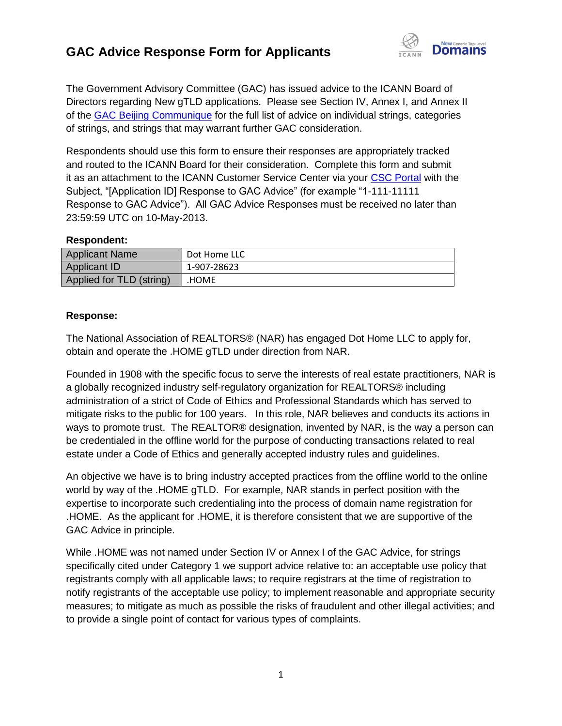## **GAC Advice Response Form for Applicants**



The Government Advisory Committee (GAC) has issued advice to the ICANN Board of Directors regarding New gTLD applications. Please see Section IV, Annex I, and Annex II of the [GAC Beijing Communique](http://www.icann.org/en/news/correspondence/gac-to-board-18apr13-en.pdf) for the full list of advice on individual strings, categories of strings, and strings that may warrant further GAC consideration.

Respondents should use this form to ensure their responses are appropriately tracked and routed to the ICANN Board for their consideration. Complete this form and submit it as an attachment to the ICANN Customer Service Center via your [CSC Portal](https://myicann.secure.force.com/) with the Subject, "[Application ID] Response to GAC Advice" (for example "1-111-11111 Response to GAC Advice"). All GAC Advice Responses must be received no later than 23:59:59 UTC on 10-May-2013.

## **Respondent:**

| <b>Applicant Name</b>    | Dot Home LLC |
|--------------------------|--------------|
| <b>Applicant ID</b>      | 1-907-28623  |
| Applied for TLD (string) | .HOME        |

## **Response:**

The National Association of REALTORS® (NAR) has engaged Dot Home LLC to apply for, obtain and operate the .HOME gTLD under direction from NAR.

Founded in 1908 with the specific focus to serve the interests of real estate practitioners, NAR is a globally recognized industry self-regulatory organization for REALTORS® including administration of a strict of Code of Ethics and Professional Standards which has served to mitigate risks to the public for 100 years. In this role, NAR believes and conducts its actions in ways to promote trust. The REALTOR® designation, invented by NAR, is the way a person can be credentialed in the offline world for the purpose of conducting transactions related to real estate under a Code of Ethics and generally accepted industry rules and guidelines.

An objective we have is to bring industry accepted practices from the offline world to the online world by way of the .HOME gTLD. For example, NAR stands in perfect position with the expertise to incorporate such credentialing into the process of domain name registration for .HOME. As the applicant for .HOME, it is therefore consistent that we are supportive of the GAC Advice in principle.

While .HOME was not named under Section IV or Annex I of the GAC Advice, for strings specifically cited under Category 1 we support advice relative to: an acceptable use policy that registrants comply with all applicable laws; to require registrars at the time of registration to notify registrants of the acceptable use policy; to implement reasonable and appropriate security measures; to mitigate as much as possible the risks of fraudulent and other illegal activities; and to provide a single point of contact for various types of complaints.